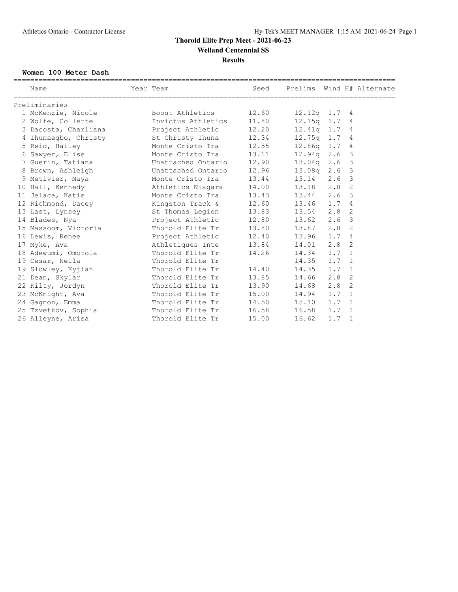#### **Women 100 Meter Dash**

| Name                                                  | Year Team        |       |                      |               |                | Seed Prelims Wind H# Alternate |
|-------------------------------------------------------|------------------|-------|----------------------|---------------|----------------|--------------------------------|
| Preliminaries                                         |                  |       |                      |               |                |                                |
| 1 McKenzie, Nicole 600 Boost Athletics                |                  | 12.60 | $12.12q$ 1.7 4       |               |                |                                |
| 2 Wolfe, Collette <b>1</b> Invictus Athletics         |                  | 11.80 | $12.15q$ 1.7 4       |               |                |                                |
| 3 Dacosta, Charliana belangrapi project Athletic      |                  | 12.20 | $12.41q$ 1.7 4       |               |                |                                |
| 4 Ihunaegbo, Christy Christy St Christy Ihuna         |                  | 12.34 | $12.75q$ $1.7q$      |               |                |                                |
| 5 Reid, Hailey 1 Monte Cristo Tra                     |                  | 12.55 | 12.86q 1.7 4         |               |                |                                |
| 6 Sawyer, Elise                 Monte Cristo Tra      |                  | 13.11 | $12.94q$ 2.6 3       |               |                |                                |
| 7 Guerin, Tatiana <b>Mattached Ontario</b>            |                  | 12.90 | $13.04q$ 2.6 3       |               |                |                                |
| 8 Brown, Ashleigh Chattached Ontario                  |                  | 12.96 | 13.08q 2.6 3         |               |                |                                |
| 9 Metivier, Maya Monte Cristo Tra                     |                  | 13.44 | $13.14$ $2.6$ 3      |               |                |                                |
| 10 Hall, Kennedy <b>Example 2</b> Athletics Niagara   |                  |       | 14.00  13.18  2.8  2 |               |                |                                |
| 11 Jelaca, Katie Monte Cristo Tra                     |                  |       | 13.43 13.44 2.6 3    |               |                |                                |
| 12 Richmond, Dacey Kingston Track &                   |                  |       | 12.60 13.46 1.7 4    |               |                |                                |
| 13 Last, Lynsey St Thomas Legion                      |                  |       | 13.83 13.54 2.8 2    |               |                |                                |
| 14 Blades, Nya                                        | Project Athletic |       | 12.80 13.62 2.6 3    |               |                |                                |
| 15 Massoom, Victoria <a> Thorold Elite Tr</a>         |                  |       | 13.80 13.87 2.8 2    |               |                |                                |
| 16 Lewis, Renee                                       | Project Athletic | 12.40 | 13.96 1.7 4          |               |                |                                |
| 17 Myke, Ava                                          | Athletiques Inte | 13.84 | 14.01                | $2.8$ 2       |                |                                |
| 18 Adewumi, Omotola Chorold Elite Tr                  |                  | 14.26 | 14.34 1.7 1          |               |                |                                |
| 19 Cesar, Neila                                       | Thorold Elite Tr |       | 14.35                | $1.7 \quad 1$ |                |                                |
| 19 Slowley, Kyjiah Morold Elite Tr                    |                  | 14.40 | 14.35                | $1.7 \quad 1$ |                |                                |
| 21 Dean, Skylar                                       | Thorold Elite Tr |       | 13.85 14.66          | $2.8$ 2       |                |                                |
| 22 Kilty, Jordyn Thorold Elite Tr                     |                  | 13.90 | 14.68 2.8 2          |               |                |                                |
| 23 McKnight, Ava and Thorold Elite Tr                 |                  |       | 15.00  14.94  1.7  1 |               |                |                                |
| 24 Gagnon, Emma                                       | Thorold Elite Tr | 14.50 | $15.10$ $1.7$ 1      |               |                |                                |
| 25 Tzvetkov, Sophia                  Thorold Elite Tr |                  | 16.58 | 16.58                | $1.7 \quad 1$ |                |                                |
| 26 Alleyne, Arisa                                     | Thorold Elite Tr | 15.00 | 16.62                | 1.7           | $\overline{1}$ |                                |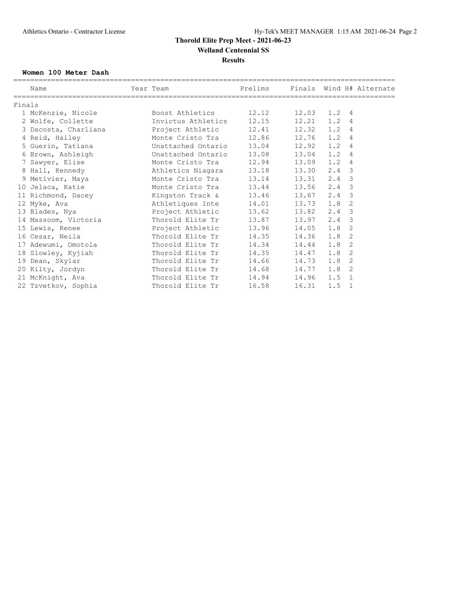#### **Women 100 Meter Dash**

|        | Name                                                      | Year Team          | Prelims - Finals Wind H# Alternate |                   |               |                |  |
|--------|-----------------------------------------------------------|--------------------|------------------------------------|-------------------|---------------|----------------|--|
|        |                                                           |                    |                                    |                   |               |                |  |
| Finals |                                                           |                    |                                    |                   |               |                |  |
|        | 1 McKenzie, Nicole 500st Athletics 12.12                  |                    |                                    | $12.03$ $1.2$ 4   |               |                |  |
|        | 2 Wolfe, Collette                                         | Invictus Athletics | 12.15 12.21 1.2 4                  |                   |               |                |  |
|        | 3 Dacosta, Charliana boro Project Athletic                |                    | 12.41                              | $12.32 \t1.2 \t4$ |               |                |  |
|        | 4 Reid, Hailey 6 12.86 12.76 1.2 4                        |                    |                                    |                   |               |                |  |
|        | 5 Guerin, Tatiana 6 Unattached Ontario 13.04 12.92 1.2 4  |                    |                                    |                   |               |                |  |
|        | 6 Brown, Ashleigh Chattached Ontario                      |                    | 13.08 13.04 1.2 4                  |                   |               |                |  |
|        | 7 Sawyer, Elise                                           | Monte Cristo Tra   | 12.94                              | 13.09 1.2 4       |               |                |  |
|        | 8 Hall, Kennedy Contract Mathletics Niagara               |                    | 13.18                              | 13.30 2.4 3       |               |                |  |
|        | 9 Metivier, Maya                                          | Monte Cristo Tra   | 13.14                              | $13.31$ $2.4$ 3   |               |                |  |
|        | 10 Jelaca, Katie 6 Monte Cristo Tra 13.44                 |                    |                                    | 13.56             | $2.4 \quad 3$ |                |  |
|        | 11 Richmond, Dacey 6 6 Kingston Track & 13.46 13.67 2.4 3 |                    |                                    |                   |               |                |  |
|        | 12 Myke, Ava                                              | Athletiques Inte   | 14.01  13.73  1.8                  |                   |               | 2              |  |
|        | 13 Blades, Nya                                            | Project Athletic   | 13.62 13.82 2.4 3                  |                   |               |                |  |
|        | 14 Massoom, Victoria <a> Thorold Elite Tr</a>             |                    | 13.87 13.97 2.4 3                  |                   |               |                |  |
|        | 15 Lewis, Renee Project Athletic                          |                    | 13.96 14.05 1.8                    |                   |               | 2              |  |
|        | 16 Cesar, Neila                                           | Thorold Elite Tr   | 14.35                              | 14.36 1.8         |               | 2              |  |
|        | 17 Adewumi, Omotola                 Thorold Elite Tr      |                    | 14.34                              | 14.44 1.8         |               | 2              |  |
|        | 18 Slowley, Kyjiah                                        | Thorold Elite Tr   | 14.35 14.47 1.8 2                  |                   |               |                |  |
|        | 19 Dean, Skylar                                           | Thorold Elite Tr   | 14.66                              | 14.73 1.8         |               | 2              |  |
|        | 20 Kilty, Jordyn Thorold Elite Tr                         |                    | 14.68 14.77 1.8                    |                   |               | 2              |  |
|        | 21 McKnight, Ava and Thorold Elite Tr                     |                    | 14.94  14.96  1.5  1               |                   |               |                |  |
|        | 22 Tzvetkov, Sophia                                       | Thorold Elite Tr   | 16.58                              | $16.31$ $1.5$     |               | $\overline{1}$ |  |
|        |                                                           |                    |                                    |                   |               |                |  |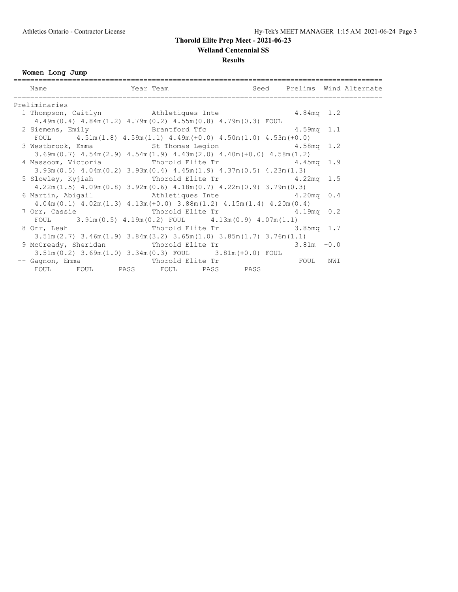**Welland Centennial SS**

#### **Results**

**Women Long Jump**

| Name                                                                                                                    | Year Team Team Seed Prelims Wind Alternate |  |  |
|-------------------------------------------------------------------------------------------------------------------------|--------------------------------------------|--|--|
| Preliminaries                                                                                                           |                                            |  |  |
| 1 Thompson, Caitlyn Mathletiques Inte 4.84mq 1.2                                                                        |                                            |  |  |
| 4.49m (0.4) 4.84m (1.2) 4.79m (0.2) 4.55m (0.8) 4.79m (0.3) FOUL                                                        |                                            |  |  |
| 2 Siemens, Emily Brantford Tfc 3 4.59mq 1.1                                                                             |                                            |  |  |
| FOUL $4.51m(1.8)$ $4.59m(1.1)$ $4.49m(+0.0)$ $4.50m(1.0)$ $4.53m(+0.0)$                                                 |                                            |  |  |
| 3 Westbrook, Emma $\qquad \qquad$ St Thomas Legion $\qquad \qquad 4.58$ mq 1.2                                          |                                            |  |  |
| $3.69$ m $(0.7)$ $4.54$ m $(2.9)$ $4.54$ m $(1.9)$ $4.43$ m $(2.0)$ $4.40$ m $(+0.0)$ $4.58$ m $(1.2)$                  |                                            |  |  |
| 4 Massoom, Victoria 1.9 Thorold Elite Tr 1.45mq 1.9                                                                     |                                            |  |  |
| $3.93\text{m}(0.5)$ $4.04\text{m}(0.2)$ $3.93\text{m}(0.4)$ $4.45\text{m}(1.9)$ $4.37\text{m}(0.5)$ $4.23\text{m}(1.3)$ |                                            |  |  |
| 5 Slowley, Kyjiah 5 Slowley, Kyjiah 5 Thorold Elite Tr 4.22mq 1.5                                                       |                                            |  |  |
| $4.22m(1.5)$ $4.09m(0.8)$ $3.92m(0.6)$ $4.18m(0.7)$ $4.22m(0.9)$ $3.79m(0.3)$                                           |                                            |  |  |
| 6 Martin, Abigail 6 Martin, Abigail 20mg Athletiques Inte 4.20mq 0.4                                                    |                                            |  |  |
| $4.04m(0.1)$ $4.02m(1.3)$ $4.13m(+0.0)$ $3.88m(1.2)$ $4.15m(1.4)$ $4.20m(0.4)$                                          |                                            |  |  |
| 7 Orr, Cassie Thorold Elite Tr 4.19mq 0.2                                                                               |                                            |  |  |
| FOUL $3.91m(0.5) 4.19m(0.2)$ FOUL $4.13m(0.9) 4.07m(1.1)$                                                               |                                            |  |  |
| 8 Orr, Leah Thorold Elite Tr 3.85mq 1.7                                                                                 |                                            |  |  |
| $3.51m(2.7)$ $3.46m(1.9)$ $3.84m(3.2)$ $3.65m(1.0)$ $3.85m(1.7)$ $3.76m(1.1)$                                           |                                            |  |  |
| 9 McCready, Sheridan Thorold Elite Tr 3.81m +0.0                                                                        |                                            |  |  |
| $3.51m(0.2)$ $3.69m(1.0)$ $3.34m(0.3)$ FOUL $3.81m(+0.0)$ FOUL                                                          |                                            |  |  |
| -- Gagnon, Emma Thorold Elite Tr The FOUL NWI                                                                           |                                            |  |  |
| FOUL FOUL PASS FOUL PASS PASS                                                                                           |                                            |  |  |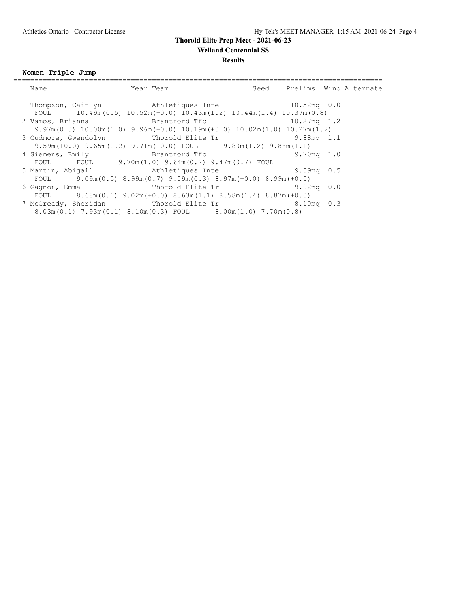**Results**

**Women Triple Jump**

| Name                                                                                                                               | Year Team                                                            |                      | Seed Prelims Wind Alternate |  |
|------------------------------------------------------------------------------------------------------------------------------------|----------------------------------------------------------------------|----------------------|-----------------------------|--|
| 1 Thompson, Caitlyn Mthletiques Inte 10.52mq +0.0<br>FOUL 10.49m (0.5) $10.52m (+0.0) 10.43m (1.2) 10.44m (1.4) 10.37m (0.8)$      |                                                                      |                      |                             |  |
| 2 Vamos, Brianna                                                                                                                   | Brantford Tfc                                                        |                      | $10.27mg$ 1.2               |  |
| $9.97m(0.3)$ 10.00 $m(1.0)$ $9.96m(+0.0)$ 10.19 $m(+0.0)$ 10.02 $m(1.0)$ 10.27 $m(1.2)$<br>3 Cudmore, Gwendolyn Thorold Elite Tr   |                                                                      |                      | $9.88mg$ 1.1                |  |
| $9.59m (+0.0)$ $9.65m(0.2)$ $9.71m (+0.0)$ FOUL $9.80m(1.2)$ $9.88m(1.1)$<br>4 Siemens, Emily                                      | Brantford Tfc                                                        |                      | $9.70mg + 1.0$              |  |
| FOUL<br>5 Martin, Abigail                                                                                                          | FOUL $9.70m(1.0)$ $9.64m(0.2)$ $9.47m(0.7)$ FOUL<br>Athletiques Inte | $9.09 \text{mq}$ 0.5 |                             |  |
| FOUL $9.09m(0.5) 8.99m(0.7) 9.09m(0.3) 8.97m(+0.0) 8.99m(+0.0)$<br>6 Gagnon, Emma                                                  | Thorold Elite Tr and 9.02mq +0.0                                     |                      |                             |  |
| FOUL $8.68m(0.1)$ $9.02m(+0.0)$ $8.63m(1.1)$ $8.58m(1.4)$ $8.87m(+0.0)$                                                            |                                                                      |                      |                             |  |
| 7 McCready, Sheridan Thorold Elite Tr<br>$8.03$ m $(0.1)$ $7.93$ m $(0.1)$ $8.10$ m $(0.3)$ FOUL $8.00$ m $(1.0)$ $7.70$ m $(0.8)$ |                                                                      |                      | $8.10 \text{ma}$ 0.3        |  |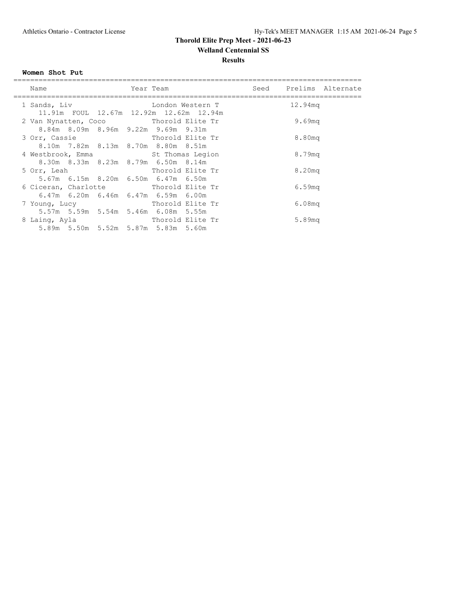**Welland Centennial SS**

**Results**

#### **Women Shot Put**

|  | Name                                            | Year Team |                  | Seed Prelims Alternate |  |
|--|-------------------------------------------------|-----------|------------------|------------------------|--|
|  | 1 Sands, Liv                                    |           | London Western T | 12.94 <sub>mq</sub>    |  |
|  | 11.91m FOUL 12.67m 12.92m 12.62m 12.94m         |           |                  |                        |  |
|  | 2 Van Nynatten, Coco Thorold Elite Tr           |           |                  | 9.69 <sub>mq</sub>     |  |
|  | 8.84m 8.09m 8.96m 9.22m 9.69m 9.31m             |           |                  |                        |  |
|  | 3 Orr, Cassie                                   |           | Thorold Elite Tr | 8.80mg                 |  |
|  | 8.10m 7.82m 8.13m 8.70m 8.80m 8.51m             |           |                  |                        |  |
|  | 4 Westbrook, Emma St Thomas Legion              |           |                  | 8.79mg                 |  |
|  | 8.30m 8.33m 8.23m 8.79m 6.50m 8.14m             |           |                  |                        |  |
|  | 5 Orr, Leah                                     |           | Thorold Elite Tr | 8.20mg                 |  |
|  | 5.67m 6.15m 8.20m 6.50m 6.47m 6.50m             |           |                  |                        |  |
|  | 6 Ciceran, Charlotte Thorold Elite Tr           |           |                  | 6.59 <sub>mq</sub>     |  |
|  | $6.47m$ $6.20m$ $6.46m$ $6.47m$ $6.59m$ $6.00m$ |           |                  |                        |  |
|  | 7 Young, Lucy                                   |           | Thorold Elite Tr | 6.08 <sub>mq</sub>     |  |
|  | 5.57m 5.59m 5.54m 5.46m 6.08m 5.55m             |           |                  |                        |  |
|  | 8 Laing, Ayla                                   |           | Thorold Elite Tr | 5.89mg                 |  |
|  | 5.89m 5.50m 5.52m 5.87m 5.83m 5.60m             |           |                  |                        |  |
|  |                                                 |           |                  |                        |  |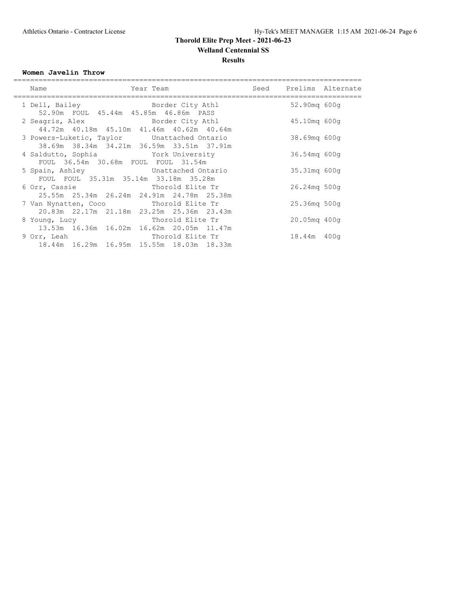**Results**

#### **Women Javelin Throw**

|  | Name<br>====================                                              | Year Team and the control of the control of the control of the control of the control of the control of the co |                                      | Seed Prelims Alternate |
|--|---------------------------------------------------------------------------|----------------------------------------------------------------------------------------------------------------|--------------------------------------|------------------------|
|  | 1 Dell, Bailey<br>52.90m FOUL 45.44m 45.85m 46.86m PASS                   | Border City Athl                                                                                               | 52.90mg 600g                         |                        |
|  |                                                                           | 2 Seagris, Alex                   Border City Athl<br>44.72m 40.18m 45.10m 41.46m 40.62m 40.64m                | 45.10mg 600g                         |                        |
|  | 3 Powers-Luketic, Taylor Unattached Ontario                               | 38.69m 38.34m 34.21m 36.59m 33.51m 37.91m                                                                      | 38.69mg 600g                         |                        |
|  | 4 Saldutto, Sophia Xork University                                        |                                                                                                                | 36.54mg 600g                         |                        |
|  | FOUL 36.54m 30.68m FOUL FOUL 31.54m<br>5 Spain, Ashley Chattached Ontario |                                                                                                                | 35.31mg 600g                         |                        |
|  | FOUL FOUL 35.31m 35.14m 33.18m 35.28m<br>6 Orr, Cassie                    | Thorold Elite Tr                                                                                               | 26.24mg 500q                         |                        |
|  | 7 Van Nynatten, Coco Thorold Elite Tr                                     | 25.55m 25.34m 26.24m 24.91m 24.78m 25.38m                                                                      | 25.36 <sub>mq</sub> 500 <sub>q</sub> |                        |
|  | 8 Young, Lucy                                                             | 20.83m  22.17m  21.18m  23.25m  25.36m  23.43m<br>Thorold Elite Tr                                             | $20.05mg$ 400g                       |                        |
|  | 9 Orr, Leah Thorold Elite Tr                                              | 13.53m 16.36m 16.02m 16.62m 20.05m 11.47m                                                                      | 18.44m 400q                          |                        |
|  |                                                                           | 18.44m 16.29m 16.95m 15.55m 18.03m 18.33m                                                                      |                                      |                        |
|  |                                                                           |                                                                                                                |                                      |                        |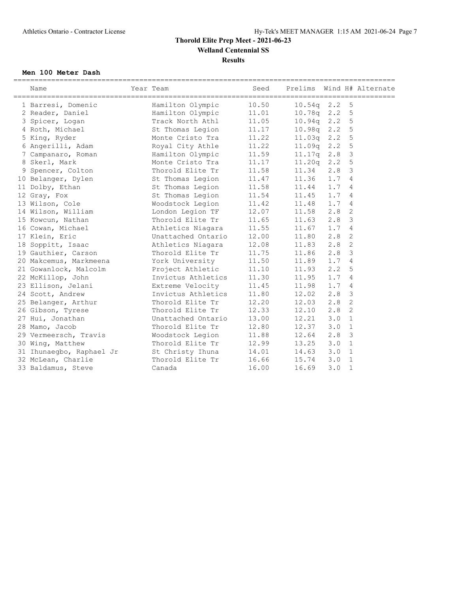#### **Men 100 Meter Dash**

| Name                                                                           | Year Team The Seed Prelims Wind H# Alternate |       |                      |               |                |  |
|--------------------------------------------------------------------------------|----------------------------------------------|-------|----------------------|---------------|----------------|--|
| 1 Barresi, Domenic Mamilton Olympic                                            |                                              | 10.50 | $10.54q$ 2.2 5       |               |                |  |
| 2 Reader, Daniel Mamilton Olympic                                              |                                              |       | 11.01 10.78q 2.2 5   |               |                |  |
| 3 Spicer, Logan Track North Athl                                               |                                              |       | 11.05 10.94q 2.2 5   |               |                |  |
| 4 Roth, Michael St Thomas Legion                                               |                                              |       | 11.17 10.98q 2.2 5   |               |                |  |
| 5 King, Ryder                                                                  | Monte Cristo Tra                             |       | 11.22 11.03q 2.2 5   |               |                |  |
| 6 Angerilli, Adam Mark Royal City Athle                                        |                                              | 11.22 | $11.09q$ 2.2 5       |               |                |  |
| 7 Campanaro, Roman Mamilton Olympic                                            |                                              | 11.59 | $11.17q$ 2.8 3       |               |                |  |
| 8 Skerl, Mark                                                                  | Monte Cristo Tra                             | 11.17 | 11.20q 2.2 5         |               |                |  |
| 9 Spencer, Colton                                                              | Thorold Elite Tr                             | 11.58 | 11.34                | $2.8 \quad 3$ |                |  |
| 10 Belanger, Dylen                                                             | St Thomas Legion                             | 11.47 | $11.36$ $1.7$ 4      |               |                |  |
| 11 Dolby, Ethan                                                                | St Thomas Legion                             | 11.58 | $11.44$ $1.7$ 4      |               |                |  |
| 12 Gray, Fox                                                                   | St Thomas Legion                             | 11.54 | $11.45$ $1.7$ 4      |               |                |  |
| 13 Wilson, Cole                                                                | Woodstock Legion                             |       | 11.42 11.48          | 1.74          |                |  |
| 14 Wilson, William Manuel London Legion TF                                     |                                              | 12.07 | 11.58                | $2.8$ 2       |                |  |
| 15 Kowcun, Nathan                                                              | Thorold Elite Tr                             | 11.65 | 11.63                | $2.8$ 3       |                |  |
| 16 Cowan, Michael             Athletics Niagara                                |                                              |       | $11.55$ $11.67$      | 1.74          |                |  |
| 17 Klein, Eric                                                                 | Unattached Ontario                           | 12.00 | 11.80                | 2.8           | 2              |  |
| 18 Soppitt, Isaac and Athletics Niagara                                        |                                              | 12.08 | 11.83                | $2.8$ 2       |                |  |
| 19 Gauthier, Carson Thorold Elite Tr                                           |                                              | 11.75 | 11.86                | $2.8 \quad 3$ |                |  |
| 20 Makcemus, Markmeena Kork University                                         |                                              | 11.50 | 11.89                | 1.74          |                |  |
| 21 Gowanlock, Malcolm Project Athletic<br>22 McKillop, John Invictus Athletics |                                              | 11.10 | 11.93                | 2.2           | 5              |  |
|                                                                                |                                              | 11.30 | 11.95                | 1.74          |                |  |
| 23 Ellison, Jelani Kxtreme Velocity                                            |                                              | 11.45 | 11.98                | 1.74          |                |  |
| 24 Scott, Andrew                                                               | Invictus Athletics                           | 11.80 | 12.02                | $2.8 \quad 3$ |                |  |
| 25 Belanger, Arthur Thorold Elite Tr                                           |                                              | 12.20 | 12.03                | $2.8$ 2       |                |  |
| 26 Gibson, Tyrese Thorold Elite Tr                                             |                                              | 12.33 | 12.10                | $2.8$ 2       |                |  |
| 27 Hui, Jonathan Chattached Ontario                                            |                                              |       | 13.00 12.21          | $3.0 \quad 1$ |                |  |
| 28 Mamo, Jacob                                                                 | Thorold Elite Tr                             |       | 12.80 12.37          | $3.0 \quad 1$ |                |  |
| 29 Vermeersch, Travis Moodstock Legion                                         |                                              |       | 11.88 12.64          | $2.8$ 3       |                |  |
| 30 Wing, Matthew                                                               | Thorold Elite Tr                             |       | 12.99  13.25  3.0  1 |               |                |  |
| 31 Ihunaegbo, Raphael Jr St Christy Ihuna                                      |                                              |       | 14.01  14.63  3.0  1 |               |                |  |
| 32 McLean, Charlie                                                             | Thorold Elite Tr                             |       | 16.66 15.74          | $3.0 \quad 1$ |                |  |
| 33 Baldamus, Steve                                                             | Canada                                       | 16.00 | 16.69                | 3.0           | $\overline{1}$ |  |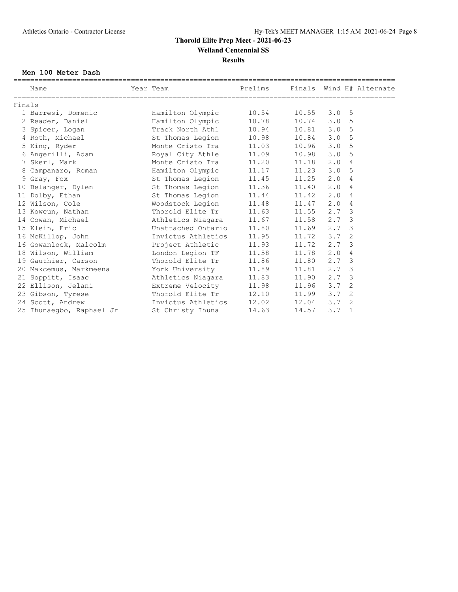#### **Men 100 Meter Dash**

|        | Name                                                      | Year Team The Prelims Finals Wind H# Alternate |                   |                 |               |   |  |
|--------|-----------------------------------------------------------|------------------------------------------------|-------------------|-----------------|---------------|---|--|
| Finals |                                                           |                                                |                   |                 |               |   |  |
|        | 1 Barresi, Domenic                                        | Hamilton Olympic                               | 10.54 10.55 3.0 5 |                 |               |   |  |
|        | 2 Reader, Daniel                                          | Hamilton Olympic                               | 10.78             | 10.74 3.0 5     |               |   |  |
|        | 3 Spicer, Logan                                           | Track North Athl                               | 10.94             | $10.81$ $3.0$ 5 |               |   |  |
|        | 4 Roth, Michael St Thomas Legion                          |                                                | 10.98             | 10.84           | 3.0 5         |   |  |
|        | 5 King, Ryder                                             | Monte Cristo Tra                               | 11.03             | 10.96 3.0 5     |               |   |  |
|        | 6 Angerilli, Adam Man Royal City Athle                    |                                                | 11.09             | 10.98 3.0 5     |               |   |  |
|        | 7 Skerl, Mark                                             | Monte Cristo Tra                               | 11.20             | 11.18           | 2.04          |   |  |
|        | 8 Campanaro, Roman             Hamilton Olympic           |                                                | 11.17             | $11.23$ $3.0$ 5 |               |   |  |
|        | 9 Gray, Fox                                               | St Thomas Legion                               | 11.45             | 11.25           | 2.04          |   |  |
|        | 10 Belanger, Dylen St Thomas Legion                       |                                                | 11.36             | 11.40           | 2.04          |   |  |
|        | 11 Dolby, Ethan St Thomas Legion                          |                                                | 11.44             | 11.42           | 2.04          |   |  |
|        | 12 Wilson, Cole                                           | Woodstock Legion                               | 11.48             | 11.47 2.0 4     |               |   |  |
|        | 13 Kowcun, Nathan                                         | Thorold Elite Tr                               | 11.63             | 11.55           | $2.7 \quad 3$ |   |  |
|        | 14 Cowan, Michael                                         | Athletics Niagara                              | 11.67             | 11.58           | $2.7 \quad 3$ |   |  |
|        | 15 Klein, Eric                                            | Unattached Ontario                             | 11.80             | $11.69$ $2.7$ 3 |               |   |  |
|        | 16 McKillop, John Martin Invictus Athletics               |                                                | 11.95             | $11.72$ $3.7$ 2 |               |   |  |
|        | 16 Gowanlock, Malcolm Broject Athletic                    |                                                | 11.93             | 11.72 2.7 3     |               |   |  |
|        | 18 Wilson, William                       London Legion TF |                                                | 11.58             | 11.78           | 2.04          |   |  |
|        | 19 Gauthier, Carson                                       | Thorold Elite Tr                               | 11.86             | 11.80           | $2.7 \quad 3$ |   |  |
|        | 20 Makcemus, Markmeena Kork University                    |                                                | 11.89             | 11.81           | $2.7 \quad 3$ |   |  |
|        | 21 Soppitt, Isaac and Athletics Niagara                   |                                                | 11.83             | 11.90 2.7 3     |               |   |  |
|        | 22 Ellison, Jelani Katreme Velocity                       |                                                | 11.98             | $11.96$ $3.7$ 2 |               |   |  |
|        | 23 Gibson, Tyrese Thorold Elite Tr                        |                                                | 12.10             | 11.99 3.7       |               | 2 |  |
|        | 24 Scott, Andrew                                          | Invictus Athletics                             | 12.02             | $12.04$ $3.7$ 2 |               |   |  |
|        | 25 Ihunaeqbo, Raphael Jr St Christy Ihuna                 |                                                | 14.63             | 14.57           | $3.7 \quad 1$ |   |  |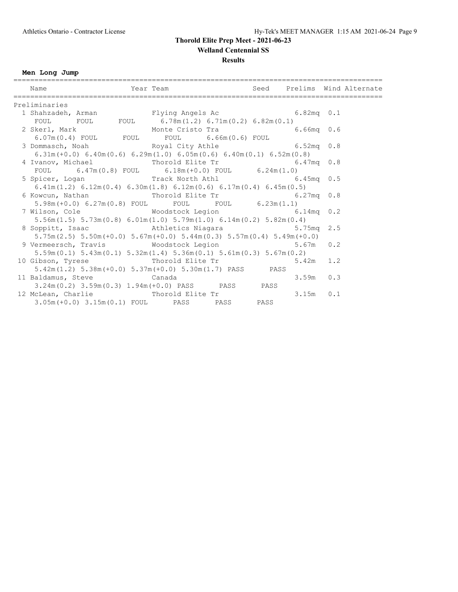**Welland Centennial SS**

#### **Results**

#### **Men Long Jump**

| Preliminaries                                                                                                                                |  |  |  |
|----------------------------------------------------------------------------------------------------------------------------------------------|--|--|--|
|                                                                                                                                              |  |  |  |
|                                                                                                                                              |  |  |  |
| 2 Skerl, Mark Monte Cristo Tra 6.66mq 0.6                                                                                                    |  |  |  |
| 6.07m(0.4) FOUL FOUL FOUL 6.66m(0.6) FOUL                                                                                                    |  |  |  |
| 3 Dommasch, Noah Royal City Athle (1999) 6.52mq 0.8                                                                                          |  |  |  |
| $6.31m (+0.0)$ $6.40m (0.6)$ $6.29m (1.0)$ $6.05m (0.6)$ $6.40m (0.1)$ $6.52m (0.8)$                                                         |  |  |  |
| 4 Ivanov, Michael Thorold Elite Tr $6.47 \text{mq}$ 0.8<br>FOUL $6.47 \text{m} (0.8)$ FOUL $6.18 \text{m} (+0.0)$ FOUL $6.24 \text{m} (1.0)$ |  |  |  |
|                                                                                                                                              |  |  |  |
| 5 Spicer, Logan Track North Athl 6.45mq 0.5                                                                                                  |  |  |  |
| 6.41m (1.2) 6.12m (0.4) 6.30m (1.8) 6.12m (0.6) 6.17m (0.4) 6.45m (0.5)                                                                      |  |  |  |
| 6 Kowcun, Nathan Thorold Elite Tr 6.27mq 0.8                                                                                                 |  |  |  |
| 5.98m( $+0.0$ ) 6.27m( $0.8$ ) FOUL FOUL FOUL 6.23m( $1.1$ )                                                                                 |  |  |  |
| 7 Wilson, Cole 6.14mq 0.2                                                                                                                    |  |  |  |
| $5.56$ m $(1.5)$ $5.73$ m $(0.8)$ $6.01$ m $(1.0)$ $5.79$ m $(1.0)$ $6.14$ m $(0.2)$ $5.82$ m $(0.4)$                                        |  |  |  |
| 8 Soppitt, Isaac 6.75mq 2.5                                                                                                                  |  |  |  |
| $5.75m(2.5)$ $5.50m(+0.0)$ $5.67m(+0.0)$ $5.44m(0.3)$ $5.57m(0.4)$ $5.49m(+0.0)$                                                             |  |  |  |
| 9 Vermeersch, Travis Moodstock Legion 5.67m 0.2                                                                                              |  |  |  |
| $5.59$ m(0.1) $5.43$ m(0.1) $5.32$ m(1.4) $5.36$ m(0.1) $5.61$ m(0.3) $5.67$ m(0.2)                                                          |  |  |  |
| 10 Gibson, Tyrese Thorold Elite Tr 5.42m 1.2                                                                                                 |  |  |  |
| $5.42$ m $(1.2)$ $5.38$ m $(+0.0)$ $5.37$ m $(+0.0)$ $5.30$ m $(1.7)$ PASS PASS                                                              |  |  |  |
| 11 Baldamus, Steve Canada 3.24m (0.2) 3.59m (0.3) 1.94m (+0.0) PASS PASS PASS PASS                                                           |  |  |  |
|                                                                                                                                              |  |  |  |
| 12 McLean, Charlie 2014 12 McLean, Charlie 2014 12 McLean, Charlie                                                                           |  |  |  |
| 3.05m(+0.0) 3.15m(0.1) FOUL PASS PASS PASS                                                                                                   |  |  |  |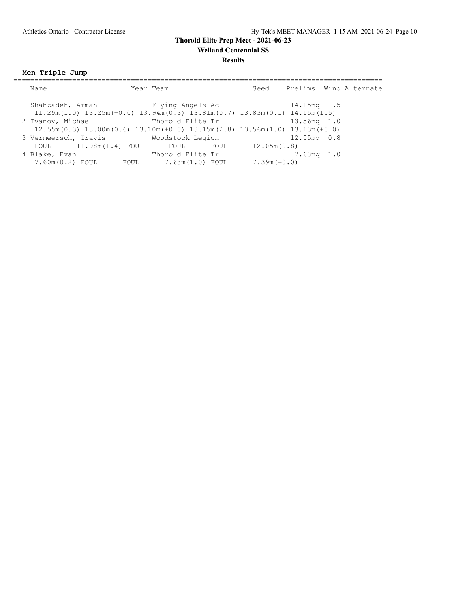**Results**

**Men Triple Jump**

|  | Name                                                                                                       | Year Team |                                     | Seed           |               | Prelims Wind Alternate |
|--|------------------------------------------------------------------------------------------------------------|-----------|-------------------------------------|----------------|---------------|------------------------|
|  | 1 Shahzadeh, Arman<br>$11.29m(1.0)$ $13.25m(+0.0)$ $13.94m(0.3)$ $13.81m(0.7)$ $13.83m(0.1)$ $14.15m(1.5)$ |           | Flying Angels Ac                    |                | $14.15mg$ 1.5 |                        |
|  | 2 Ivanov, Michael<br>$12.55m(0.3)$ $13.00m(0.6)$ $13.10m(+0.0)$ $13.15m(2.8)$ $13.56m(1.0)$ $13.13m(+0.0)$ |           | Thorold Elite Tr                    |                | $13.56mg$ 1.0 |                        |
|  | 3 Vermeersch, Travis Moodstock Legion<br>FOUL 11.98m(1.4) FOUL                                             |           | FOUL<br>FOUL                        | 12.05m(0.8)    | $12.05mg$ 0.8 |                        |
|  | 4 Blake, Evan<br>7.60m(0.2) FOUL<br>FOUL                                                                   |           | Thorold Elite Tr<br>7.63m(1.0) FOUL | $7.39m (+0.0)$ | 7.63mg 1.0    |                        |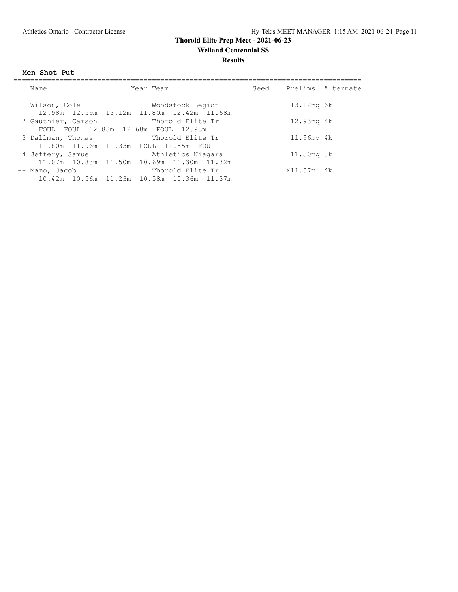# **Welland Centennial SS**

**Results**

**Men Shot Put**

| Name                                                           | Year Team |                   |            | Seed Prelims Alternate |
|----------------------------------------------------------------|-----------|-------------------|------------|------------------------|
| 1 Wilson, Cole<br>12.98m 12.59m 13.12m 11.80m 12.42m 11.68m    |           | Woodstock Legion  | 13.12mg 6k |                        |
| 2 Gauthier, Carson<br>FOUL FOUL 12.88m 12.68m FOUL 12.93m      |           | Thorold Elite Tr  | 12.93mg 4k |                        |
| 3 Dallman, Thomas<br>11.80m 11.96m 11.33m FOUL 11.55m FOUL     |           | Thorold Elite Tr  | 11.96mg 4k |                        |
| 4 Jeffery, Samuel<br>11.07m 10.83m 11.50m 10.69m 11.30m 11.32m |           | Athletics Niagara | 11.50mg 5k |                        |
| -- Mamo, Jacob<br>10.42m 10.56m 11.23m 10.58m 10.36m 11.37m    |           | Thorold Elite Tr  | X11.37m 4k |                        |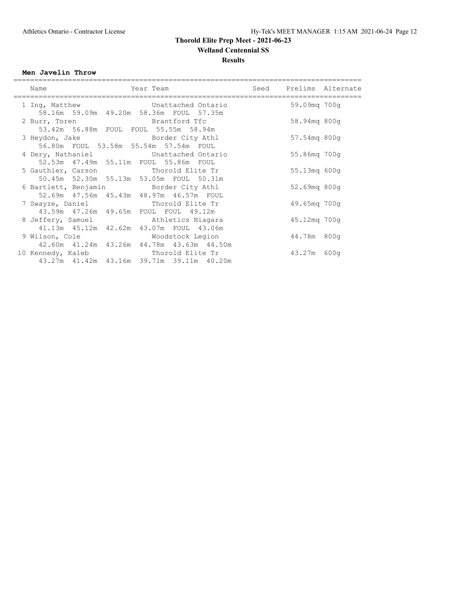**Welland Centennial SS**

**Results**

#### **Men Javelin Throw**

|  | Name                                  |                                       | Year Team |                                              |              | Seed Prelims Alternate |
|--|---------------------------------------|---------------------------------------|-----------|----------------------------------------------|--------------|------------------------|
|  | 1 Ing, Matthew                        |                                       |           | Unattached Ontario                           | 59.09mg 700g |                        |
|  |                                       |                                       |           | 58.16m 59.09m 49.20m 58.36m FOUL 57.35m      |              |                        |
|  | 2 Burr, Toren Brantford Tfc           | 53.42m 56.88m FOUL FOUL 55.55m 58.94m |           |                                              | 58.94mg 800g |                        |
|  | 3 Heydon, Jake Border City Athl       |                                       |           |                                              | 57.54mg 800g |                        |
|  |                                       | 56.80m FOUL 53.58m 55.54m 57.54m FOUL |           |                                              |              |                        |
|  |                                       |                                       |           | 4 Dery, Nathaniel Chattached Ontario         | 55.86mg 700g |                        |
|  |                                       | 52.53m 47.49m 55.11m FOUL 55.86m FOUL |           |                                              |              |                        |
|  | 5 Gauthier, Carson Thorold Elite Tr   |                                       |           |                                              | 55.13mg600q  |                        |
|  |                                       |                                       |           | 50.45m 52.30m 55.13m 53.05m FOUL 50.31m      |              |                        |
|  | 6 Bartlett, Benjamin Marder City Athl |                                       |           |                                              | 52.69mg 800g |                        |
|  |                                       |                                       |           | 52.69m 47.56m 45.43m 48.97m 46.57m FOUL      |              |                        |
|  | 7 Swayze, Daniel Thorold Elite Tr     | 43.59m 47.26m 49.65m FOUL FOUL 49.12m |           |                                              | 49.65mg 700g |                        |
|  |                                       |                                       |           | 8 Jeffery, Samuel Athletics Niagara          | 45.12mg 700g |                        |
|  |                                       |                                       |           | 41.13m  45.12m  42.62m  43.07m  FOUL  43.06m |              |                        |
|  | 9 Wilson, Cole Moodstock Legion       |                                       |           |                                              | 44.78m 800q  |                        |
|  |                                       |                                       |           | 42.60m 41.24m 43.26m 44.78m 43.63m 44.50m    |              |                        |
|  | 10 Kennedy, Kaleb Thorold Elite Tr    |                                       |           |                                              | 43.27m 600g  |                        |
|  |                                       |                                       |           | 43.27m 41.42m 43.16m 39.71m 39.11m 40.20m    |              |                        |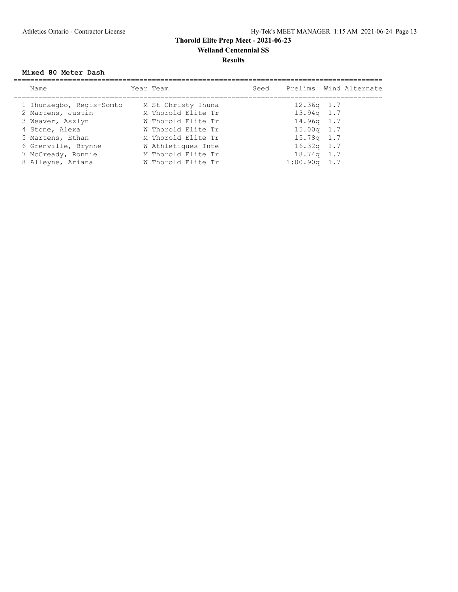#### **Mixed 80 Meter Dash**

| Name                     | Year Team          | Seed |                | Prelims Wind Alternate |
|--------------------------|--------------------|------|----------------|------------------------|
| 1 Ihunaeqbo, Reqis-Somto | M St Christy Ihuna |      | $12.36q$ 1.7   |                        |
| 2 Martens, Justin        | M Thorold Elite Tr |      | $13.94q$ 1.7   |                        |
| 3 Weaver, Aszlyn         | W Thorold Elite Tr |      | $14.96q$ 1.7   |                        |
| 4 Stone, Alexa           | W Thorold Elite Tr |      | $15.00q$ 1.7   |                        |
| 5 Martens, Ethan         | M Thorold Elite Tr |      | $15.78q$ 1.7   |                        |
| 6 Grenville, Brynne      | W Athletiques Inte |      | $16.32q$ 1.7   |                        |
| 7 McCready, Ronnie       | M Thorold Elite Tr |      | $18.74q$ 1.7   |                        |
| 8 Alleyne, Ariana        | W Thorold Elite Tr |      | $1:00.90q$ 1.7 |                        |
|                          |                    |      |                |                        |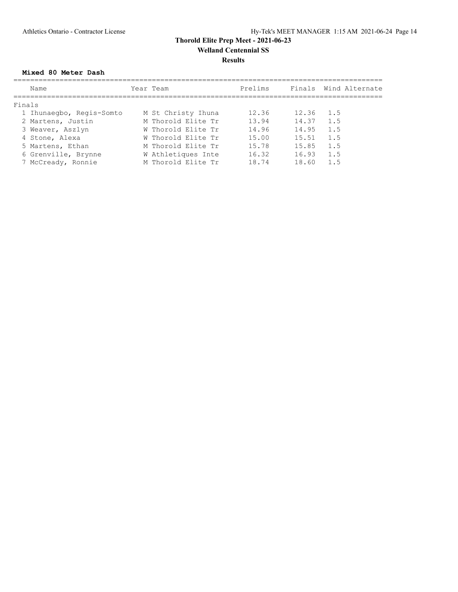#### **Mixed 80 Meter Dash**

| Name                     | Year Team          | Prelims |               | Finals Wind Alternate |
|--------------------------|--------------------|---------|---------------|-----------------------|
| Finals                   |                    |         |               |                       |
| 1 Ihunaeqbo, Regis-Somto | M St Christy Ihuna | 12.36   | $12.36$ $1.5$ |                       |
| 2 Martens, Justin        | M Thorold Elite Tr | 13.94   | $14.37$ 1.5   |                       |
| 3 Weaver, Aszlyn         | W Thorold Elite Tr | 14.96   | 14.95         | 1.5                   |
| 4 Stone, Alexa           | W Thorold Elite Tr | 15.00   | 15.51         | 1.5                   |
| 5 Martens, Ethan         | M Thorold Elite Tr | 15.78   | 15.85         | 1.5                   |
| 6 Grenville, Brynne      | W Athletiques Inte | 16.32   | 16.93         | 1.5                   |
| 7 McCready, Ronnie       | M Thorold Elite Tr | 18.74   | 18.60         | 1.5                   |
|                          |                    |         |               |                       |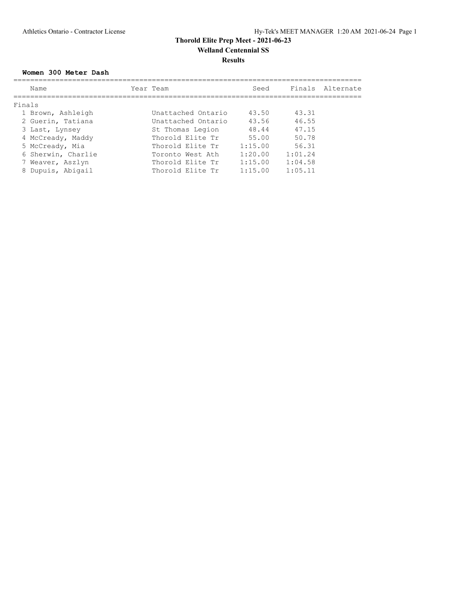#### **Women 300 Meter Dash**

| Name               | Year Team          | Seed    |         | Finals Alternate |
|--------------------|--------------------|---------|---------|------------------|
| Finals             |                    |         |         |                  |
| 1 Brown, Ashleigh  | Unattached Ontario | 43.50   | 43.31   |                  |
| 2 Guerin, Tatiana  | Unattached Ontario | 43.56   | 46.55   |                  |
| 3 Last, Lynsey     | St Thomas Legion   | 48.44   | 47.15   |                  |
| 4 McCready, Maddy  | Thorold Elite Tr   | 55.00   | 50.78   |                  |
| 5 McCready, Mia    | Thorold Elite Tr   | 1:15.00 | 56.31   |                  |
| 6 Sherwin, Charlie | Toronto West Ath   | 1:20.00 | 1:01.24 |                  |
| 7 Weaver, Aszlyn   | Thorold Elite Tr   | 1:15.00 | 1:04.58 |                  |
| 8 Dupuis, Abigail  | Thorold Elite Tr   | 1:15.00 | 1:05.11 |                  |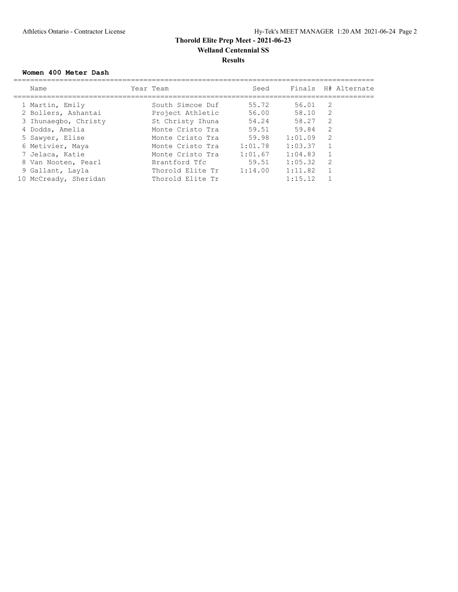#### **Women 400 Meter Dash**

| Name                  | Year Team        | Seed    |         |                | Finals H# Alternate |
|-----------------------|------------------|---------|---------|----------------|---------------------|
| 1 Martin, Emily       | South Simcoe Duf | 55.72   | 56.01   | -2             |                     |
| 2 Bollers, Ashantai   | Project Athletic | 56.00   | 58.10   | 2              |                     |
| 3 Ihunaegbo, Christy  | St Christy Ihuna | 54.24   | 58.27   | 2              |                     |
| 4 Dodds, Amelia       | Monte Cristo Tra | 59.51   | 59.84   | 2              |                     |
| 5 Sawyer, Elise       | Monte Cristo Tra | 59.98   | 1:01.09 | $\mathcal{L}$  |                     |
| 6 Metivier, Maya      | Monte Cristo Tra | 1:01.78 | 1:03.37 | $\mathbf{1}$   |                     |
| 7 Jelaca, Katie       | Monte Cristo Tra | 1:01.67 | 1:04.83 | $\overline{1}$ |                     |
| 8 Van Nooten, Pearl   | Brantford Tfc    | 59.51   | 1:05.32 | -2             |                     |
| 9 Gallant, Layla      | Thorold Elite Tr | 1:14.00 | 1:11.82 |                |                     |
| 10 McCready, Sheridan | Thorold Elite Tr |         | 1:15.12 |                |                     |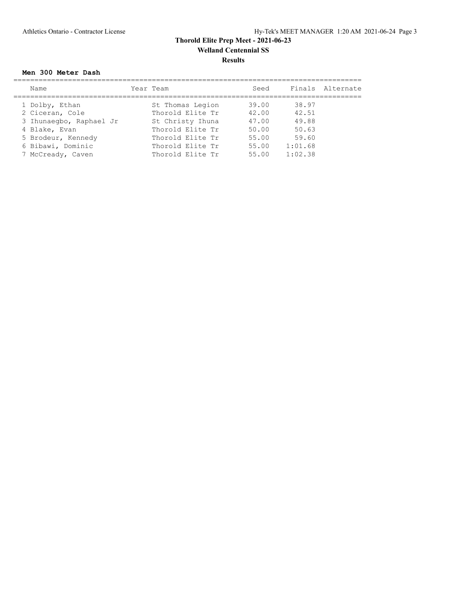#### **Men 300 Meter Dash**

| Name                    | Year Team        | Seed  |         | Finals Alternate |
|-------------------------|------------------|-------|---------|------------------|
| 1 Dolby, Ethan          | St Thomas Legion | 39.00 | 38.97   |                  |
| 2 Ciceran, Cole         | Thorold Elite Tr | 42.00 | 42.51   |                  |
| 3 Ihunaeqbo, Raphael Jr | St Christy Ihuna | 47.00 | 49.88   |                  |
| 4 Blake, Evan           | Thorold Elite Tr | 50.00 | 50.63   |                  |
| 5 Brodeur, Kennedy      | Thorold Elite Tr | 55.00 | 59.60   |                  |
| 6 Bibawi, Dominic       | Thorold Elite Tr | 55.00 | 1:01.68 |                  |
| 7 McCready, Caven       | Thorold Elite Tr | 55.00 | 1:02.38 |                  |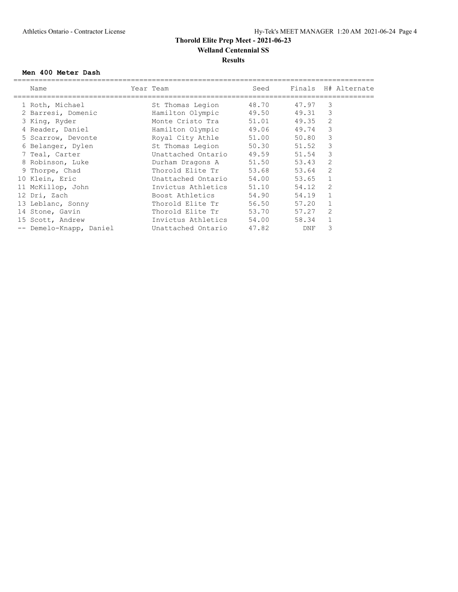#### **Men 400 Meter Dash**

| Name                    | Year Team          | Seed  |            |                | Finals H# Alternate |
|-------------------------|--------------------|-------|------------|----------------|---------------------|
| 1 Roth, Michael         | St Thomas Legion   | 48.70 | 47.97      | 3              |                     |
| 2 Barresi, Domenic      | Hamilton Olympic   | 49.50 | 49.31      | 3              |                     |
| 3 King, Ryder           | Monte Cristo Tra   | 51.01 | 49.35      | $\overline{2}$ |                     |
| 4 Reader, Daniel        | Hamilton Olympic   | 49.06 | 49.74      | 3              |                     |
| 5 Scarrow, Devonte      | Royal City Athle   | 51.00 | 50.80      | 3              |                     |
| 6 Belanger, Dylen       | St Thomas Legion   | 50.30 | 51.52      | 3              |                     |
| 7 Teal, Carter          | Unattached Ontario | 49.59 | 51.54      | 3              |                     |
| 8 Robinson, Luke        | Durham Dragons A   | 51.50 | 53.43      | $\overline{2}$ |                     |
| 9 Thorpe, Chad          | Thorold Elite Tr   | 53.68 | 53.64      | $\overline{2}$ |                     |
| 10 Klein, Eric          | Unattached Ontario | 54.00 | 53.65      |                |                     |
| 11 McKillop, John       | Invictus Athletics | 51.10 | 54.12      | $\overline{2}$ |                     |
| 12 Dri, Zach            | Boost Athletics    | 54.90 | 54.19      | $\mathbf{1}$   |                     |
| 13 Leblanc, Sonny       | Thorold Elite Tr   | 56.50 | 57.20      |                |                     |
| 14 Stone, Gavin         | Thorold Elite Tr   | 53.70 | 57.27      | 2              |                     |
| 15 Scott, Andrew        | Invictus Athletics | 54.00 | 58.34      |                |                     |
| -- Demelo-Knapp, Daniel | Unattached Ontario | 47.82 | <b>DNF</b> | 3              |                     |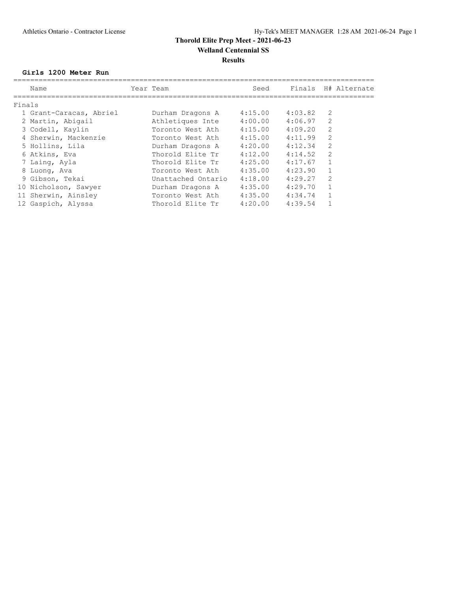#### **Girls 1200 Meter Run**

| Name |                                                                                                                                                                                                                                                                 |                    | Seed      | Finals  |               | H# Alternate |
|------|-----------------------------------------------------------------------------------------------------------------------------------------------------------------------------------------------------------------------------------------------------------------|--------------------|-----------|---------|---------------|--------------|
|      |                                                                                                                                                                                                                                                                 |                    |           |         |               |              |
|      |                                                                                                                                                                                                                                                                 | Durham Dragons A   | 4:15.00   | 4:03.82 | 2             |              |
|      |                                                                                                                                                                                                                                                                 | Athletiques Inte   | 4:00.00   | 4:06.97 | 2             |              |
|      |                                                                                                                                                                                                                                                                 | Toronto West Ath   | 4:15.00   | 4:09.20 | 2             |              |
|      |                                                                                                                                                                                                                                                                 | Toronto West Ath   | 4:15.00   | 4:11.99 | 2             |              |
|      |                                                                                                                                                                                                                                                                 | Durham Dragons A   | 4:20.00   | 4:12.34 | 2             |              |
|      |                                                                                                                                                                                                                                                                 | Thorold Elite Tr   | 4:12.00   | 4:14.52 | 2             |              |
|      |                                                                                                                                                                                                                                                                 | Thorold Elite Tr   | 4:25.00   | 4:17.67 |               |              |
|      |                                                                                                                                                                                                                                                                 | Toronto West Ath   | 4:35.00   | 4:23.90 | 1             |              |
|      |                                                                                                                                                                                                                                                                 | Unattached Ontario | 4:18.00   | 4:29.27 | $\mathcal{L}$ |              |
|      |                                                                                                                                                                                                                                                                 | Durham Dragons A   | 4:35.00   | 4:29.70 |               |              |
|      |                                                                                                                                                                                                                                                                 | Toronto West Ath   | 4:35.00   | 4:34.74 | 1             |              |
|      |                                                                                                                                                                                                                                                                 | Thorold Elite Tr   | 4:20.00   | 4:39.54 |               |              |
|      | Finals<br>1 Grant-Caracas, Abriel<br>2 Martin, Abigail<br>3 Codell, Kaylin<br>4 Sherwin, Mackenzie<br>5 Hollins, Lila<br>6 Atkins, Eva<br>7 Laing, Ayla<br>8 Luong, Ava<br>9 Gibson, Tekai<br>10 Nicholson, Sawyer<br>11 Sherwin, Ainsley<br>12 Gaspich, Alyssa |                    | Year Team |         |               |              |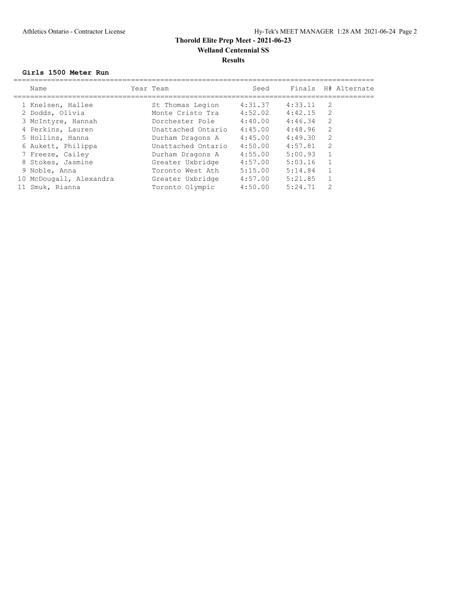#### **Girls 1500 Meter Run**

| Name                    | Year Team          | Seed    | Finals  | H# Alternate  |
|-------------------------|--------------------|---------|---------|---------------|
| 1 Knelsen, Hallee       | St Thomas Legion   | 4:31.37 | 4:33.11 | -2            |
| 2 Dodds, Olivia         | Monte Cristo Tra   | 4:52.02 | 4:42.15 | 2             |
| 3 McIntyre, Hannah      | Dorchester Pole    | 4:40.00 | 4:46.34 | 2             |
| 4 Perkins, Lauren       | Unattached Ontario | 4:45.00 | 4:48.96 | 2             |
| 5 Hollins, Hanna        | Durham Dragons A   | 4:45.00 | 4:49.30 | 2             |
| 6 Aukett, Philippa      | Unattached Ontario | 4:50.00 | 4:57.81 | $\mathcal{D}$ |
| 7 Freeze, Cailey        | Durham Dragons A   | 4:55.00 | 5:00.93 |               |
| 8 Stokes, Jasmine       | Greater Uxbridge   | 4:57.00 | 5:03.16 |               |
| 9 Noble, Anna           | Toronto West Ath   | 5:15.00 | 5:14.84 |               |
| 10 McDougall, Alexandra | Greater Uxbridge   | 4:57.00 | 5:21.85 |               |
| 11 Smuk, Rianna         | Toronto Olympic    | 4:50.00 | 5:24.71 | 2             |
|                         |                    |         |         |               |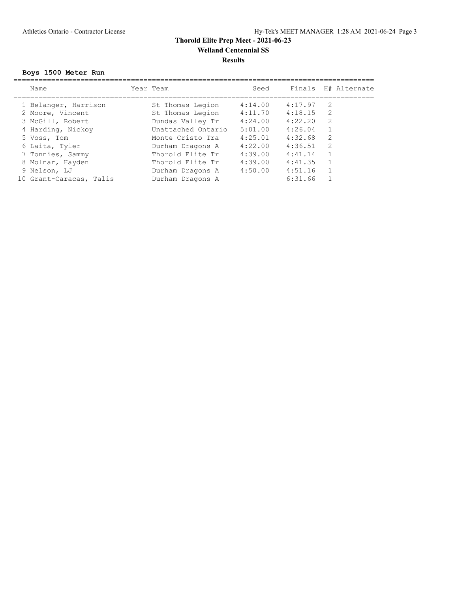### **Boys 1500 Meter Run**

| Name                    | Year Team          | Seed    | Finals  |               | H# Alternate |
|-------------------------|--------------------|---------|---------|---------------|--------------|
| 1 Belanger, Harrison    | St Thomas Legion   | 4:14.00 | 4:17.97 | 2             |              |
| 2 Moore, Vincent        | St Thomas Legion   | 4:11.70 | 4:18.15 | -2            |              |
| 3 McGill, Robert        | Dundas Valley Tr   | 4:24.00 | 4:22.20 | 2             |              |
| 4 Harding, Nickoy       | Unattached Ontario | 5:01.00 | 4:26.04 |               |              |
| 5 Voss, Tom             | Monte Cristo Tra   | 4:25.01 | 4:32.68 | $\mathcal{L}$ |              |
| 6 Laita, Tyler          | Durham Dragons A   | 4:22.00 | 4:36.51 | 2             |              |
| 7 Tonnies, Sammy        | Thorold Elite Tr   | 4:39.00 | 4:41.14 |               |              |
| 8 Molnar, Hayden        | Thorold Elite Tr   | 4:39.00 | 4:41.35 |               |              |
| 9 Nelson, LJ            | Durham Dragons A   | 4:50.00 | 4:51.16 |               |              |
| 10 Grant-Caracas, Talis | Durham Dragons A   |         | 6:31.66 |               |              |
|                         |                    |         |         |               |              |